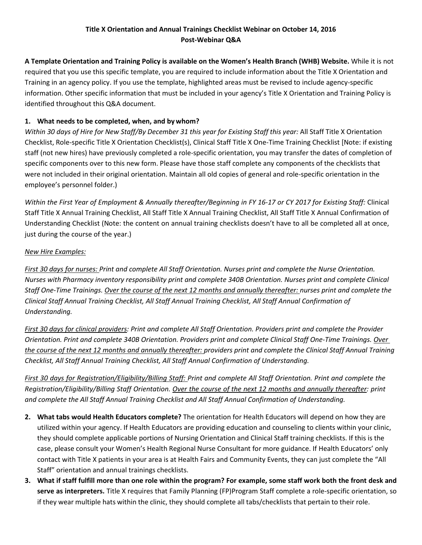## **Title X Orientation and Annual Trainings Checklist Webinar on October 14, 2016 Post-Webinar Q&A**

**A Template Orientation and Training Policy is available on the Women's Health Branch (WHB) Website.** While it is not required that you use this specific template, you are required to include information about the Title X Orientation and Training in an agency policy. If you use the template, highlighted areas must be revised to include agency-specific information. Other specific information that must be included in your agency's Title X Orientation and Training Policy is identified throughout this Q&A document.

## **1. What needs to be completed, when, and by whom?**

*Within 30 days of Hire for New Staff/By December 31 this year for Existing Staff this year:* All Staff Title X Orientation Checklist, Role-specific Title X Orientation Checklist(s), Clinical Staff Title X One-Time Training Checklist [Note: if existing staff (not new hires) have previously completed a role-specific orientation, you may transfer the dates of completion of specific components over to this new form. Please have those staff complete any components of the checklists that were not included in their original orientation. Maintain all old copies of general and role-specific orientation in the employee's personnel folder.)

*Within the First Year of Employment & Annually thereafter/Beginning in FY 16-17 or CY 2017 for Existing Staff:* Clinical Staff Title X Annual Training Checklist, All Staff Title X Annual Training Checklist, All Staff Title X Annual Confirmation of Understanding Checklist (Note: the content on annual training checklists doesn't have to all be completed all at once, just during the course of the year.)

## *New Hire Examples:*

*First 30 days for nurses: Print and complete All Staff Orientation. Nurses print and complete the Nurse Orientation. Nurses with Pharmacy inventory responsibility print and complete 340B Orientation. Nurses print and complete Clinical Staff One-Time Trainings. Over the course of the next 12 months and annually thereafter: nurses print and complete the Clinical Staff Annual Training Checklist, All Staff Annual Training Checklist, All Staff Annual Confirmation of Understanding.*

*First 30 days for clinical providers: Print and complete All Staff Orientation. Providers print and complete the Provider Orientation. Print and complete 340B Orientation. Providers print and complete Clinical Staff One-Time Trainings. Over the course of the next 12 months and annually thereafter: providers print and complete the Clinical Staff Annual Training Checklist, All Staff Annual Training Checklist, All Staff Annual Confirmation of Understanding.*

*First 30 days for Registration/Eligibility/Billing Staff: Print and complete All Staff Orientation. Print and complete the Registration/Eligibility/Billing Staff Orientation. Over the course of the next 12 months and annually thereafter: print and complete the All Staff Annual Training Checklist and All Staff Annual Confirmation of Understanding.*

- **2. What tabs would Health Educators complete?** The orientation for Health Educators will depend on how they are utilized within your agency. If Health Educators are providing education and counseling to clients within your clinic, they should complete applicable portions of Nursing Orientation and Clinical Staff training checklists. If this is the case, please consult your Women's Health Regional Nurse Consultant for more guidance. If Health Educators' only contact with Title X patients in your area is at Health Fairs and Community Events, they can just complete the "All Staff" orientation and annual trainings checklists.
- **3. What if staff fulfill more than one role within the program? For example, some staff work both the front desk and serve as interpreters.** Title X requires that Family Planning (FP)Program Staff complete a role-specific orientation, so if they wear multiple hats within the clinic, they should complete all tabs/checklists that pertain to their role.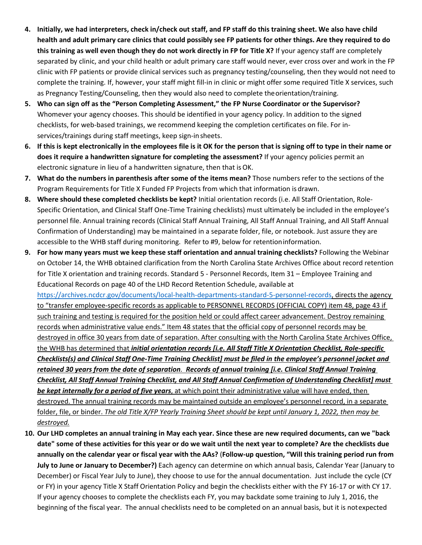- **4. Initially, we had interpreters, check in/check out staff, and FP staff do this training sheet. We also have child health and adult primary care clinics that could possibly see FP patients for other things. Are they required to do this training as well even though they do not work directly in FP for Title X?** If your agency staff are completely separated by clinic, and your child health or adult primary care staff would never, ever cross over and work in the FP clinic with FP patients or provide clinical services such as pregnancy testing/counseling, then they would not need to complete the training. If, however, your staff might fill-in in clinic or might offer some required Title X services, such as Pregnancy Testing/Counseling, then they would also need to complete theorientation/training.
- **5. Who can sign off as the "Person Completing Assessment," the FP Nurse Coordinator or the Supervisor?**  Whomever your agency chooses. This should be identified in your agency policy. In addition to the signed checklists, for web-based trainings, we recommend keeping the completion certificates on file. For inservices/trainings during staff meetings, keep sign-in sheets.
- **6. If this is kept electronically in the employees file is it OK for the person that is signing off to type in their name or does it require a handwritten signature for completing the assessment?** If your agency policies permit an electronic signature in lieu of a handwritten signature, then that isOK.
- **7. What do the numbers in parenthesis after some of the items mean?** Those numbers refer to the sections of the Program Requirements for Title X Funded FP Projects from which that information is drawn.
- **8. Where should these completed checklists be kept?** Initial orientation records (i.e. All Staff Orientation, Role-Specific Orientation, and Clinical Staff One-Time Training checklists) must ultimately be included in the employee's personnel file. Annual training records (Clinical Staff Annual Training, All Staff Annual Training, and All Staff Annual Confirmation of Understanding) may be maintained in a separate folder, file, or notebook. Just assure they are accessible to the WHB staff during monitoring. Refer to #9, below for retentioninformation.
- **9. For how many years must we keep these staff orientation and annual training checklists?** Following the Webinar on October 14, the WHB obtained clarification from the North Carolina State Archives Office about record retention for Title X orientation and training records. Standard 5 - Personnel Records, Item 31 – Employee Training and Educational Records on page 40 of the LHD Record Retention Schedule, available at

[https://archives.ncdcr.gov/documents/local-health-departments-standard-5-personnel-records,](https://archives.ncdcr.gov/documents/local-health-departments-standard-5-personnel-records) directs the agency to "transfer employee-specific records as applicable to PERSONNEL RECORDS (OFFICIAL COPY) item 48, page 43 if such training and testing is required for the position held or could affect career advancement. Destroy remaining records when administrative value ends." Item 48 states that the official copy of personnel records may be destroyed in office 30 years from date of separation. After consulting with the North Carolina State Archives Office, the WHB has determined that *initial orientation records [i.e. All Staff Title X Orientation Checklist, Role-specific Checklists(s) and Clinical Staff One-Time Training Checklist] must be filed in the employee's personnel jacket and retained 30 years from the date of separation. Records of annual training [i.e. Clinical Staff Annual Training Checklist, All Staff Annual Training Checklist, and All Staff Annual Confirmation of Understanding Checklist] must be kept internally for a period of five years*, at which point their administrative value will have ended, then destroyed. The annual training records may be maintained outside an employee's personnel record, in a separate folder, file, or binder. *The old Title X/FP Yearly Training Sheet should be kept until January 1, 2022, then may be destroyed.*

**10. Our LHD completes an annual training in May each year. Since these are new required documents, can we "back date" some of these activities for this year or do we wait until the next year to complete? Are the checklists due annually on the calendar year or fiscal year with the AAs?** (**Follow-up question, "Will this training period run from July to June or January to December?)** Each agency can determine on which annual basis, Calendar Year (January to December) or Fiscal Year July to June), they choose to use for the annual documentation. Just include the cycle (CY or FY) in your agency Title X Staff Orientation Policy and begin the checklists either with the FY 16-17 or with CY 17. If your agency chooses to complete the checklists each FY, you may backdate some training to July 1, 2016, the beginning of the fiscal year. The annual checklists need to be completed on an annual basis, but it is notexpected